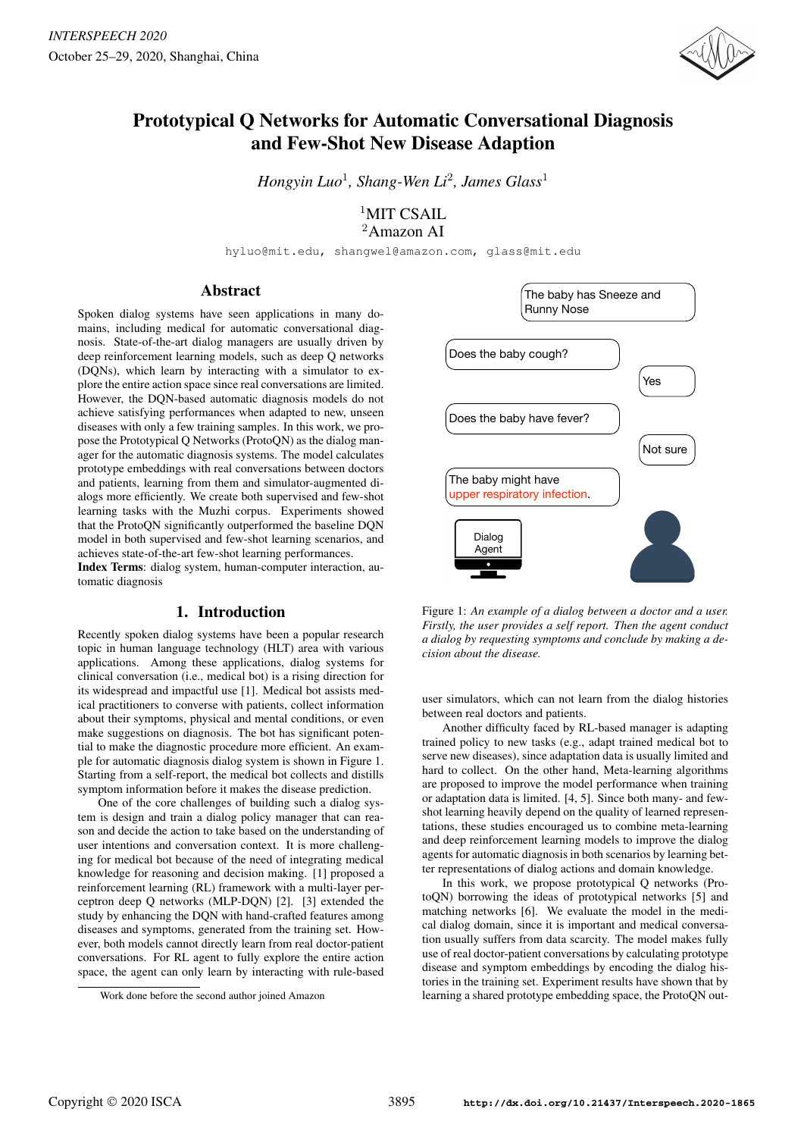

# Prototypical Q Networks for Automatic Conversational Diagnosis and Few-Shot New Disease Adaption

*Hongyin Luo*<sup>1</sup> *, Shang-Wen Li*<sup>2</sup> *, James Glass*<sup>1</sup>

<sup>1</sup>MIT CSAIL <sup>2</sup>Amazon AI

hyluo@mit.edu, shangwel@amazon.com, glass@mit.edu

# Abstract

Spoken dialog systems have seen applications in many domains, including medical for automatic conversational diagnosis. State-of-the-art dialog managers are usually driven by deep reinforcement learning models, such as deep Q networks (DQNs), which learn by interacting with a simulator to explore the entire action space since real conversations are limited. However, the DQN-based automatic diagnosis models do not achieve satisfying performances when adapted to new, unseen diseases with only a few training samples. In this work, we propose the Prototypical Q Networks (ProtoQN) as the dialog manager for the automatic diagnosis systems. The model calculates prototype embeddings with real conversations between doctors and patients, learning from them and simulator-augmented dialogs more efficiently. We create both supervised and few-shot learning tasks with the Muzhi corpus. Experiments showed that the ProtoQN significantly outperformed the baseline DQN model in both supervised and few-shot learning scenarios, and achieves state-of-the-art few-shot learning performances.

Index Terms: dialog system, human-computer interaction, automatic diagnosis

# 1. Introduction

Recently spoken dialog systems have been a popular research topic in human language technology (HLT) area with various applications. Among these applications, dialog systems for clinical conversation (i.e., medical bot) is a rising direction for its widespread and impactful use [1]. Medical bot assists medical practitioners to converse with patients, collect information about their symptoms, physical and mental conditions, or even make suggestions on diagnosis. The bot has significant potential to make the diagnostic procedure more efficient. An example for automatic diagnosis dialog system is shown in Figure 1. Starting from a self-report, the medical bot collects and distills symptom information before it makes the disease prediction.

One of the core challenges of building such a dialog system is design and train a dialog policy manager that can reason and decide the action to take based on the understanding of user intentions and conversation context. It is more challenging for medical bot because of the need of integrating medical knowledge for reasoning and decision making. [1] proposed a reinforcement learning (RL) framework with a multi-layer perceptron deep Q networks (MLP-DQN) [2]. [3] extended the study by enhancing the DQN with hand-crafted features among diseases and symptoms, generated from the training set. However, both models cannot directly learn from real doctor-patient conversations. For RL agent to fully explore the entire action space, the agent can only learn by interacting with rule-based



Figure 1: *An example of a dialog between a doctor and a user. Firstly, the user provides a self report. Then the agent conduct a dialog by requesting symptoms and conclude by making a decision about the disease.*

user simulators, which can not learn from the dialog histories between real doctors and patients.

Another difficulty faced by RL-based manager is adapting trained policy to new tasks (e.g., adapt trained medical bot to serve new diseases), since adaptation data is usually limited and hard to collect. On the other hand, Meta-learning algorithms are proposed to improve the model performance when training or adaptation data is limited. [4, 5]. Since both many- and fewshot learning heavily depend on the quality of learned representations, these studies encouraged us to combine meta-learning and deep reinforcement learning models to improve the dialog agents for automatic diagnosis in both scenarios by learning better representations of dialog actions and domain knowledge.

In this work, we propose prototypical Q networks (ProtoQN) borrowing the ideas of prototypical networks [5] and matching networks [6]. We evaluate the model in the medical dialog domain, since it is important and medical conversation usually suffers from data scarcity. The model makes fully use of real doctor-patient conversations by calculating prototype disease and symptom embeddings by encoding the dialog histories in the training set. Experiment results have shown that by learning a shared prototype embedding space, the ProtoQN out-

Work done before the second author joined Amazon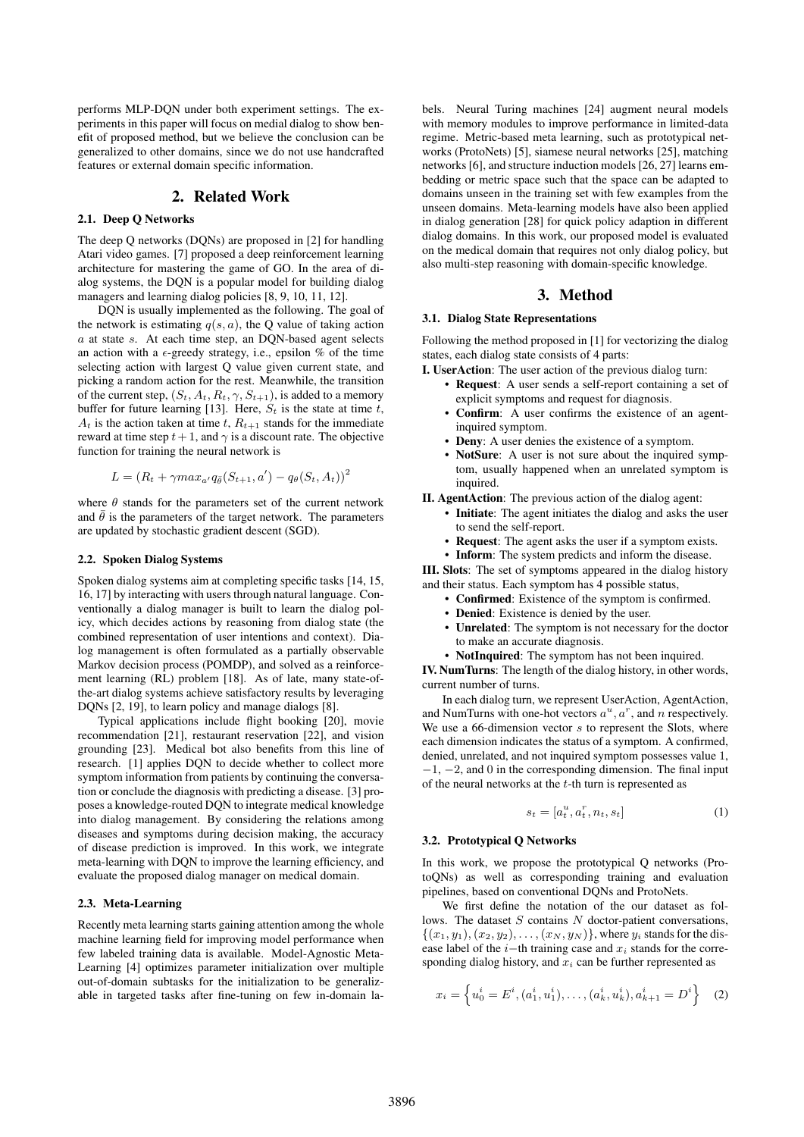performs MLP-DQN under both experiment settings. The experiments in this paper will focus on medial dialog to show benefit of proposed method, but we believe the conclusion can be generalized to other domains, since we do not use handcrafted features or external domain specific information.

### 2. Related Work

### 2.1. Deep Q Networks

The deep Q networks (DQNs) are proposed in [2] for handling Atari video games. [7] proposed a deep reinforcement learning architecture for mastering the game of GO. In the area of dialog systems, the DQN is a popular model for building dialog managers and learning dialog policies [8, 9, 10, 11, 12].

DQN is usually implemented as the following. The goal of the network is estimating  $q(s, a)$ , the Q value of taking action a at state s. At each time step, an DQN-based agent selects an action with a  $\epsilon$ -greedy strategy, i.e., epsilon % of the time selecting action with largest Q value given current state, and picking a random action for the rest. Meanwhile, the transition of the current step,  $(S_t, A_t, R_t, \gamma, S_{t+1})$ , is added to a memory buffer for future learning [13]. Here,  $S_t$  is the state at time t,  $A_t$  is the action taken at time t,  $R_{t+1}$  stands for the immediate reward at time step  $t + 1$ , and  $\gamma$  is a discount rate. The objective function for training the neural network is

$$
L = (R_t + \gamma max_{a'} q_{\bar{\theta}}(S_{t+1}, a') - q_{\theta}(S_t, A_t))^2
$$

where  $\theta$  stands for the parameters set of the current network and  $\bar{\theta}$  is the parameters of the target network. The parameters are updated by stochastic gradient descent (SGD).

#### 2.2. Spoken Dialog Systems

Spoken dialog systems aim at completing specific tasks [14, 15, 16, 17] by interacting with users through natural language. Conventionally a dialog manager is built to learn the dialog policy, which decides actions by reasoning from dialog state (the combined representation of user intentions and context). Dialog management is often formulated as a partially observable Markov decision process (POMDP), and solved as a reinforcement learning (RL) problem [18]. As of late, many state-ofthe-art dialog systems achieve satisfactory results by leveraging DQNs [2, 19], to learn policy and manage dialogs [8].

Typical applications include flight booking [20], movie recommendation [21], restaurant reservation [22], and vision grounding [23]. Medical bot also benefits from this line of research. [1] applies DQN to decide whether to collect more symptom information from patients by continuing the conversation or conclude the diagnosis with predicting a disease. [3] proposes a knowledge-routed DQN to integrate medical knowledge into dialog management. By considering the relations among diseases and symptoms during decision making, the accuracy of disease prediction is improved. In this work, we integrate meta-learning with DQN to improve the learning efficiency, and evaluate the proposed dialog manager on medical domain.

#### 2.3. Meta-Learning

Recently meta learning starts gaining attention among the whole machine learning field for improving model performance when few labeled training data is available. Model-Agnostic Meta-Learning [4] optimizes parameter initialization over multiple out-of-domain subtasks for the initialization to be generalizable in targeted tasks after fine-tuning on few in-domain labels. Neural Turing machines [24] augment neural models with memory modules to improve performance in limited-data regime. Metric-based meta learning, such as prototypical networks (ProtoNets) [5], siamese neural networks [25], matching networks [6], and structure induction models [26, 27] learns embedding or metric space such that the space can be adapted to domains unseen in the training set with few examples from the unseen domains. Meta-learning models have also been applied in dialog generation [28] for quick policy adaption in different dialog domains. In this work, our proposed model is evaluated on the medical domain that requires not only dialog policy, but also multi-step reasoning with domain-specific knowledge.

# 3. Method

### 3.1. Dialog State Representations

Following the method proposed in [1] for vectorizing the dialog states, each dialog state consists of 4 parts:

I. UserAction: The user action of the previous dialog turn:

- Request: A user sends a self-report containing a set of explicit symptoms and request for diagnosis.
- Confirm: A user confirms the existence of an agentinquired symptom.
- **Deny**: A user denies the existence of a symptom.
- NotSure: A user is not sure about the inquired symptom, usually happened when an unrelated symptom is inquired.

II. AgentAction: The previous action of the dialog agent:

- Initiate: The agent initiates the dialog and asks the user to send the self-report.
- Request: The agent asks the user if a symptom exists.
- Inform: The system predicts and inform the disease.

III. Slots: The set of symptoms appeared in the dialog history and their status. Each symptom has 4 possible status,

- Confirmed: Existence of the symptom is confirmed.
- Denied: Existence is denied by the user.
- Unrelated: The symptom is not necessary for the doctor to make an accurate diagnosis.
- NotInquired: The symptom has not been inquired.

IV. NumTurns: The length of the dialog history, in other words, current number of turns.

In each dialog turn, we represent UserAction, AgentAction, and NumTurns with one-hot vectors  $a^u$ ,  $a^r$ , and n respectively. We use a 66-dimension vector  $s$  to represent the Slots, where each dimension indicates the status of a symptom. A confirmed, denied, unrelated, and not inquired symptom possesses value 1,  $-1$ ,  $-2$ , and 0 in the corresponding dimension. The final input of the neural networks at the  $t$ -th turn is represented as

$$
s_t = [a_t^u, a_t^r, n_t, s_t]
$$
\n<sup>(1)</sup>

#### 3.2. Prototypical Q Networks

In this work, we propose the prototypical Q networks (ProtoQNs) as well as corresponding training and evaluation pipelines, based on conventional DQNs and ProtoNets.

We first define the notation of the our dataset as follows. The dataset  $S$  contains  $N$  doctor-patient conversations,  $\{(x_1, y_1), (x_2, y_2), \ldots, (x_N, y_N)\}\,$ , where  $y_i$  stands for the disease label of the  $i$ −th training case and  $x_i$  stands for the corresponding dialog history, and  $x_i$  can be further represented as

$$
x_i = \left\{ u_0^i = E^i, (a_1^i, u_1^i), \dots, (a_k^i, u_k^i), a_{k+1}^i = D^i \right\}
$$
 (2)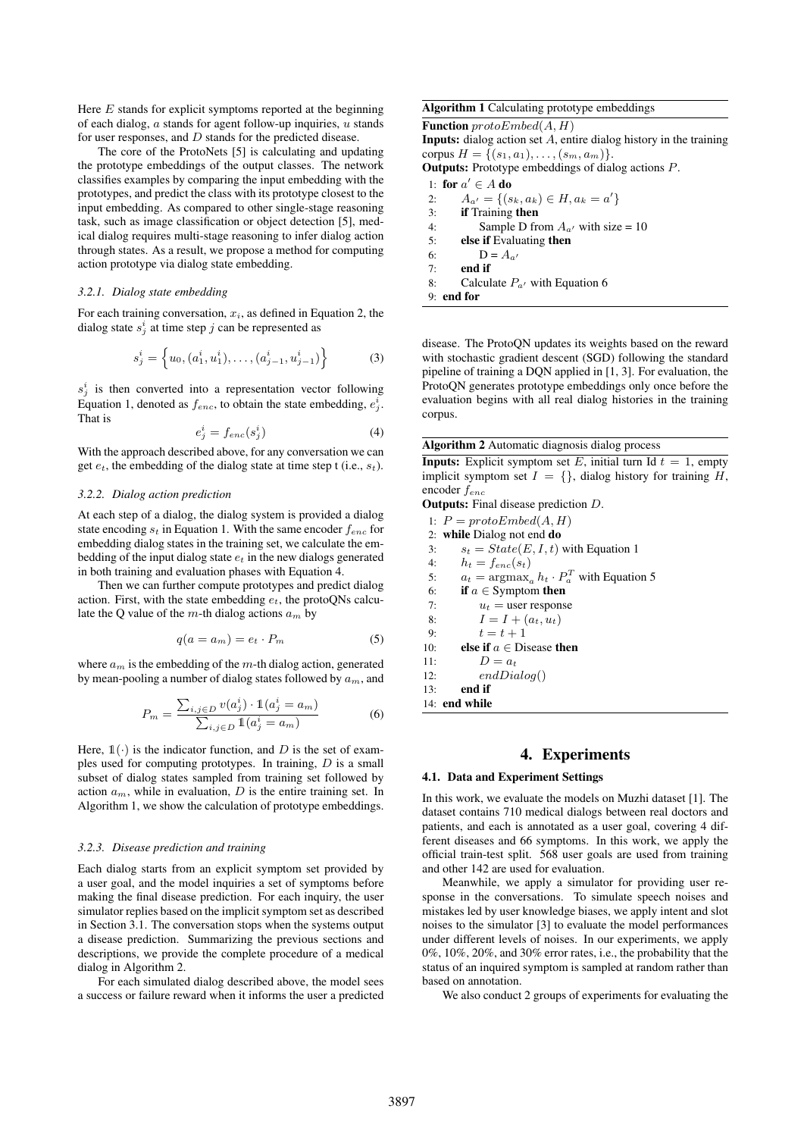Here  $E$  stands for explicit symptoms reported at the beginning of each dialog,  $a$  stands for agent follow-up inquiries,  $u$  stands for user responses, and D stands for the predicted disease.

The core of the ProtoNets [5] is calculating and updating the prototype embeddings of the output classes. The network classifies examples by comparing the input embedding with the prototypes, and predict the class with its prototype closest to the input embedding. As compared to other single-stage reasoning task, such as image classification or object detection [5], medical dialog requires multi-stage reasoning to infer dialog action through states. As a result, we propose a method for computing action prototype via dialog state embedding.

# *3.2.1. Dialog state embedding*

For each training conversation,  $x_i$ , as defined in Equation 2, the dialog state  $s_j^i$  at time step j can be represented as

$$
s_j^i = \left\{ u_0, (a_1^i, u_1^i), \dots, (a_{j-1}^i, u_{j-1}^i) \right\}
$$
 (3)

 $s_j^i$  is then converted into a representation vector following Equation 1, denoted as  $f_{enc}$ , to obtain the state embedding,  $e_j^i$ . That is

$$
e_j^i = f_{enc}(s_j^i) \tag{4}
$$

With the approach described above, for any conversation we can get  $e_t$ , the embedding of the dialog state at time step t (i.e.,  $s_t$ ).

# *3.2.2. Dialog action prediction*

At each step of a dialog, the dialog system is provided a dialog state encoding  $s_t$  in Equation 1. With the same encoder  $f_{enc}$  for embedding dialog states in the training set, we calculate the embedding of the input dialog state  $e_t$  in the new dialogs generated in both training and evaluation phases with Equation 4.

Then we can further compute prototypes and predict dialog action. First, with the state embedding  $e_t$ , the protoQNs calculate the Q value of the m-th dialog actions  $a_m$  by

$$
q(a = a_m) = e_t \cdot P_m \tag{5}
$$

where  $a_m$  is the embedding of the m-th dialog action, generated by mean-pooling a number of dialog states followed by  $a_m$ , and

$$
P_m = \frac{\sum_{i,j \in D} v(a_j^i) \cdot \mathbb{1}(a_j^i = a_m)}{\sum_{i,j \in D} \mathbb{1}(a_j^i = a_m)}
$$
(6)

Here,  $\mathbb{1}(\cdot)$  is the indicator function, and D is the set of examples used for computing prototypes. In training,  $D$  is a small subset of dialog states sampled from training set followed by action  $a_m$ , while in evaluation, D is the entire training set. In Algorithm 1, we show the calculation of prototype embeddings.

### *3.2.3. Disease prediction and training*

Each dialog starts from an explicit symptom set provided by a user goal, and the model inquiries a set of symptoms before making the final disease prediction. For each inquiry, the user simulator replies based on the implicit symptom set as described in Section 3.1. The conversation stops when the systems output a disease prediction. Summarizing the previous sections and descriptions, we provide the complete procedure of a medical dialog in Algorithm 2.

For each simulated dialog described above, the model sees a success or failure reward when it informs the user a predicted

# Algorithm 1 Calculating prototype embeddings

**Function**  $protoEmbed(A, H)$ Inputs: dialog action set A, entire dialog history in the training corpus  $H = \{(s_1, a_1), \ldots, (s_m, a_m)\}.$ Outputs: Prototype embeddings of dialog actions P.

1: for  $a' \in A$  do 2:  $A_{a'} = \{(s_k, a_k) \in H, a_k = a'\}$ 3: if Training then 4: Sample D from  $A_{a'}$  with size = 10 5: else if Evaluating then 6:  $D = A_{a'}$  $7:$  end if 8: Calculate  $P_{a}$  with Equation 6

9: end for

disease. The ProtoQN updates its weights based on the reward with stochastic gradient descent (SGD) following the standard pipeline of training a DQN applied in [1, 3]. For evaluation, the ProtoQN generates prototype embeddings only once before the evaluation begins with all real dialog histories in the training corpus.

Algorithm 2 Automatic diagnosis dialog process

**Inputs:** Explicit symptom set E, initial turn Id  $t = 1$ , empty implicit symptom set  $I = \{\}$ , dialog history for training H, encoder fenc

Outputs: Final disease prediction D.

- 1:  $P = \text{protoEmbed}(A, H)$
- 2: while Dialog not end do
- 3:  $s_t = State(E, I, t)$  with Equation 1
- 4:  $h_t = f_{enc}(s_t)$

5:  $a_t = \argmax_a h_t \cdot P_a^T$  with Equation 5

6: if  $a \in$  Symptom then

7:  $u_t$  = user response

- 8:  $I = I + (a_t, u_t)$
- 9:  $t = t + 1$
- 10: **else if**  $a \in$  Disease then
- 11:  $D = a_t$ <br>12:  $a_t dD_t$  $PndDialoa()$

12: *enabra* 
$$
(13)
$$
: **end if**

14: end while

# 4. Experiments

### 4.1. Data and Experiment Settings

In this work, we evaluate the models on Muzhi dataset [1]. The dataset contains 710 medical dialogs between real doctors and patients, and each is annotated as a user goal, covering 4 different diseases and 66 symptoms. In this work, we apply the official train-test split. 568 user goals are used from training and other 142 are used for evaluation.

Meanwhile, we apply a simulator for providing user response in the conversations. To simulate speech noises and mistakes led by user knowledge biases, we apply intent and slot noises to the simulator [3] to evaluate the model performances under different levels of noises. In our experiments, we apply 0%, 10%, 20%, and 30% error rates, i.e., the probability that the status of an inquired symptom is sampled at random rather than based on annotation.

We also conduct 2 groups of experiments for evaluating the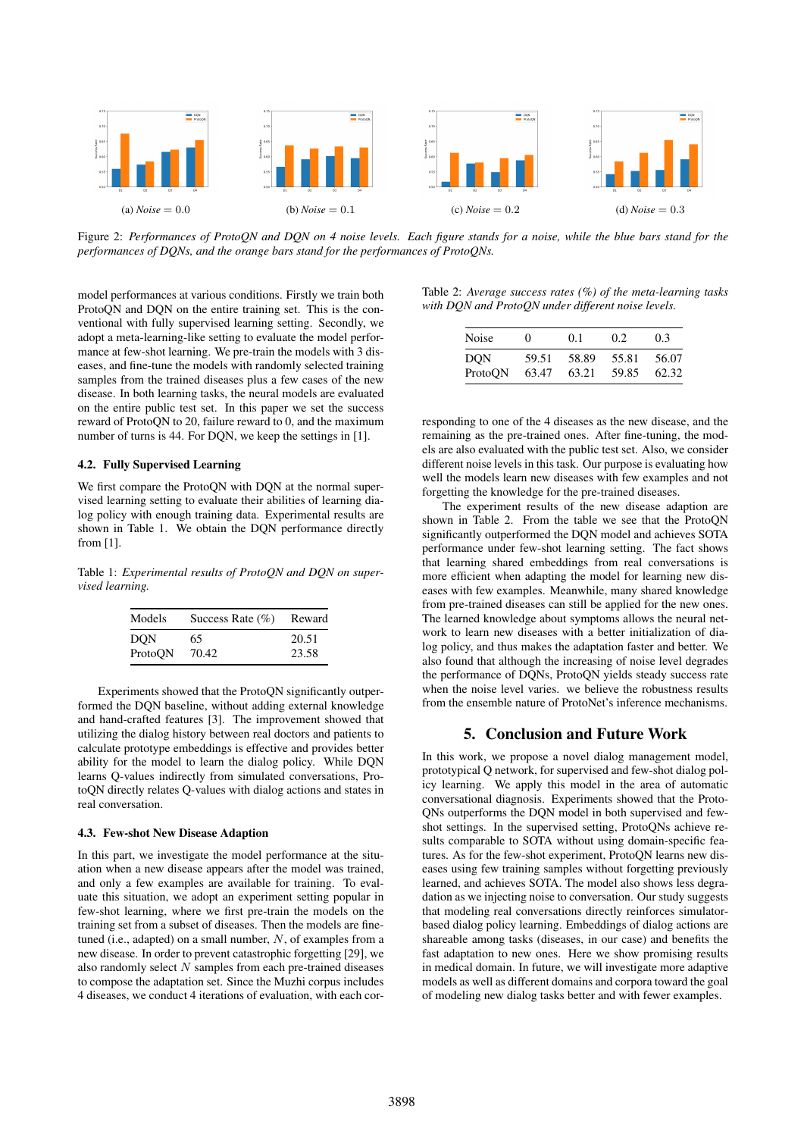

Figure 2: *Performances of ProtoQN and DQN on 4 noise levels. Each figure stands for a noise, while the blue bars stand for the performances of DQNs, and the orange bars stand for the performances of ProtoQNs.*

model performances at various conditions. Firstly we train both ProtoQN and DQN on the entire training set. This is the conventional with fully supervised learning setting. Secondly, we adopt a meta-learning-like setting to evaluate the model performance at few-shot learning. We pre-train the models with 3 diseases, and fine-tune the models with randomly selected training samples from the trained diseases plus a few cases of the new disease. In both learning tasks, the neural models are evaluated on the entire public test set. In this paper we set the success reward of ProtoQN to 20, failure reward to 0, and the maximum number of turns is 44. For DQN, we keep the settings in [1].

### 4.2. Fully Supervised Learning

We first compare the ProtoQN with DQN at the normal supervised learning setting to evaluate their abilities of learning dialog policy with enough training data. Experimental results are shown in Table 1. We obtain the DQN performance directly from [1].

Table 1: *Experimental results of ProtoQN and DQN on supervised learning.*

| Models     | Success Rate $(\% )$ | Reward |
|------------|----------------------|--------|
| <b>DON</b> | 65                   | 20.51  |
| ProtoON    | 70.42                | 23.58  |

Experiments showed that the ProtoQN significantly outperformed the DQN baseline, without adding external knowledge and hand-crafted features [3]. The improvement showed that utilizing the dialog history between real doctors and patients to calculate prototype embeddings is effective and provides better ability for the model to learn the dialog policy. While DQN learns Q-values indirectly from simulated conversations, ProtoQN directly relates Q-values with dialog actions and states in real conversation.

### 4.3. Few-shot New Disease Adaption

In this part, we investigate the model performance at the situation when a new disease appears after the model was trained, and only a few examples are available for training. To evaluate this situation, we adopt an experiment setting popular in few-shot learning, where we first pre-train the models on the training set from a subset of diseases. Then the models are finetuned (i.e., adapted) on a small number,  $N$ , of examples from a new disease. In order to prevent catastrophic forgetting [29], we also randomly select  $N$  samples from each pre-trained diseases to compose the adaptation set. Since the Muzhi corpus includes 4 diseases, we conduct 4 iterations of evaluation, with each cor-

|  |  | Table 2: Average success rates $(\%)$ of the meta-learning tasks |  |
|--|--|------------------------------------------------------------------|--|
|  |  | with DQN and ProtoQN under different noise levels.               |  |

| Noise   | $\theta$ | 0.1   | 0.2   | 0.3   |
|---------|----------|-------|-------|-------|
| DON     | 59.51    | 58.89 | 55.81 | 56.07 |
| ProtoON | 63.47    | 63.21 | 59.85 | 62.32 |

responding to one of the 4 diseases as the new disease, and the remaining as the pre-trained ones. After fine-tuning, the models are also evaluated with the public test set. Also, we consider different noise levels in this task. Our purpose is evaluating how well the models learn new diseases with few examples and not forgetting the knowledge for the pre-trained diseases.

The experiment results of the new disease adaption are shown in Table 2. From the table we see that the ProtoQN significantly outperformed the DQN model and achieves SOTA performance under few-shot learning setting. The fact shows that learning shared embeddings from real conversations is more efficient when adapting the model for learning new diseases with few examples. Meanwhile, many shared knowledge from pre-trained diseases can still be applied for the new ones. The learned knowledge about symptoms allows the neural network to learn new diseases with a better initialization of dialog policy, and thus makes the adaptation faster and better. We also found that although the increasing of noise level degrades the performance of DQNs, ProtoQN yields steady success rate when the noise level varies. we believe the robustness results from the ensemble nature of ProtoNet's inference mechanisms.

# 5. Conclusion and Future Work

In this work, we propose a novel dialog management model, prototypical Q network, for supervised and few-shot dialog policy learning. We apply this model in the area of automatic conversational diagnosis. Experiments showed that the Proto-QNs outperforms the DQN model in both supervised and fewshot settings. In the supervised setting, ProtoQNs achieve results comparable to SOTA without using domain-specific features. As for the few-shot experiment, ProtoQN learns new diseases using few training samples without forgetting previously learned, and achieves SOTA. The model also shows less degradation as we injecting noise to conversation. Our study suggests that modeling real conversations directly reinforces simulatorbased dialog policy learning. Embeddings of dialog actions are shareable among tasks (diseases, in our case) and benefits the fast adaptation to new ones. Here we show promising results in medical domain. In future, we will investigate more adaptive models as well as different domains and corpora toward the goal of modeling new dialog tasks better and with fewer examples.